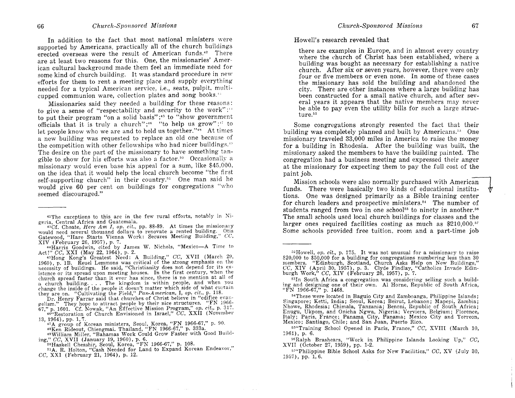In addition to the fact that most national ministers were supported by Americans, practically all of the church buildings erected overseas were the result of American funds.<sup>42</sup> There are at least two reasons for this. One, the missionaries' American cultural background made them feel an immediate need for' some kind of church building. It was standard procedure in new efforts for them to rent a meeting place and supply everything needed for a typical American service, i.e., seats, pulpit, multicupped communion ware, collection plates and song books."

Missionaries said they needed a building for these reasons: to give a sense of "respectability and security to the work";" to put their program "on a solid basis";<sup>45</sup> to "show government" officials that it is truly a church";<sup>46</sup> "to help us grow";<sup>17</sup> to let people know who we are and to hold us together."<sup>48</sup> At times a new building was requested to replace an old one because of the competition with other fellowships who had nicer buildings. $P$ The desire on the part of the missionary to have something tangible to show for his efforts was also a factor.<sup>50</sup> Occasionally a missionary would even base his appeal for a sum, like \$45,000, on the idea that it would help the local church become "the first self-supporting church" in their country.<sup>51</sup> One man said he would give 60 per cent on buildings for congregations "who seemed discouraged."

geria, Central Africa and Guatemala.<br>
<sup>43</sup>Cf. Choate, *Here Am I*, op. cit., pp. 88-89. At times<br>
would need several thousand dollars to renovate a rented<br>
Gatewood, "Hare Starts Vienna Work: Secures Meeting  $XIV$  (February 26, 1957), p. 7. the missionary<br>building, Otis<br>Building, *CC*,

Dr. Henry Farrar said that churches of Christ believe in "edifice evangelism." They hope to attract people by their nice structures. "FN  $1966$ -

gensm." They nope to attract people by their life structures. The 1500-<br>67," p. 1601. Cf. Nowak, "An Effective Mission Program," op. cit., p. 317.<br><sup>46</sup>'Restoration of Church Envisioned in Israel," CC, XXII (November 13, 1964), pp. 1, 7.

<sup>48</sup>Ken Rideout, Chiengmai. Thailand, "FN 1966-67," p. 333a.<br><sup>49</sup>William Miller, "Bahamas Work Could Grow Faster with Good Building," CC, XVII (January 19, 1960), p. 6.<br>
<sup>50</sup>Haskell Chesshir, Seoul, Korea, "FN 1966-67," p. 108.

51A. R. Holton, "Cash Needed for Land to Expand Korean Endeavor," CC, XXI (February 21, 1964), p. 12.

Howell's research revealed that

there are examples in Europe, and in almost every country where the church of Christ has been established, where a building was bought as necessary for establishing a native church. After six or seven years, however, there were only four or five members or even none. In some of these cases the missionary has sold the building and abandoned the city. There are other instances where a large building has been constructed for a small native church, and after several years it appears that the native members may never be able to pay even the utility bills for such a large struc $t$ ure<sup>52</sup>

Some congregations strongly resented the fact that their building was completeiy planned and built by Americans.'" One missionary traveled 33,000 miles in America to raise the money for a building in Rhodesia. After the building was built, the missionary asked the members to have the building painted. The congregation had a business meeting and expressed their anger at the missionary for expecting them to pay the full cost of the paint job.

Mission schools were also normally purchased with American funds. There were basically two kinds of educational institutions. One was designed primarily as a Bible training center for church leaders and prospective ministers. $54$  The number of students ranged from two in one school<sup>55</sup> to ninety in another.<sup>56</sup> The small schoois used local church buildings for classes and the larger ones required facilities costing as much as  $$210,000$ .<sup>57</sup> Some schools provided free tuition, room and a part-time job

 $57$ "Philippine Bible School Asks for New Facilities," CC, XV (July 30, 1957), pp, 1,6.

 $^{42}$ The exceptions to this are in the few rural efforts, notably in Ni-

<sup>44</sup>Harris Goodwin, cited by James W. Nichols, "Mexico-A Time to Act!" CC, XXI (May 22, 1964), p. 2.

<sup>45</sup>Hong Kong's Greatest Need: A Building," CC, XVII (March 29, 1960), p. 1B. Reuel Lemmons was critical of the strong emphasis on the necessity of buildings. He said, "Christianity does not depend for its existence or its spread upon meeting houses. In the first century, when the church spread faster than it ever has since, there is no mention at all of change the inside of the people it doesn't matter which side of what curtain a church building. . . . The kingdom is within people, and when you they are on. "Cultivating the Field," Pan-American, I, op. cit., p. 118.

group of Korean ministers, Seoul, Korea, "FN 1966-67," p. 90.

 $52$  Howell, op. cit., p. 175. It was not unusual for a missionary to raise \$20,000 to \$50,000 for a building for congregations numbering less than 30<br>members. "Edinburgh, Scotland, Church Asks Help on New Buildings,"<br>CC, XIV (April 30, 1957), p. 3. Clyde Findlay, "Catholics Invade Edin-<br>burgh Wor

<sup>53</sup>In South Africa a congregation was considering selling such a build-lng and designing one of their own. Al Horne, Republic of South Africa, "FN 1966-67," p. 1468.

<sup>54</sup>These were located in Baguio City and Zamboanga, Philippine Islands; Singapore; Ketti, India; Seoul, Korea; Beirut, Lebanon; Mapepi, Zambia; Nhowe, Rhodesia; Chimala, Tanzania; Benoni, Republic of South Africa; Enugu, Ukpom, and Onicha Ngwa, Nigeria; Verviers, Belgiurn; Florence, Italy; Paris, France; Panama City, Panama; Mexico City and Torreon, Mexico; Santiago, Chile; and San Juan, Puerto Rico.

ss"Training School Opened in Paris, France," CC, XVIII (March 10, 1961), p. 6.

<sup>&</sup>lt;sup>56</sup>Ralph Brashears, "Work in Philippine Islands Looking Up," CC, XVII (October 27, 1959), pp. 1-2.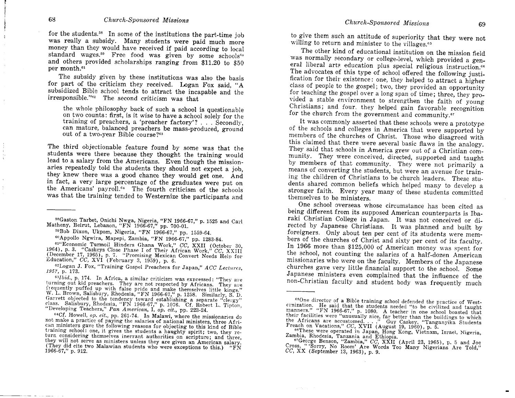for the students.<sup>58</sup> In some of the institutions the part-time job was really a subsidy. Many students were paid much more money than they would have received if paid according to local standard wages.<sup>59</sup> Free food was given by some schools<sup>60</sup> and others provided scholarships ranging from \$11.20 to \$50 per month.<sup>61</sup>

The subsidy given by these institutions was also the basis for part of the criticism they received. Logan Fox said, "A subsidized Bible school tends to attract the incapable and the irresponsible."<sup>42</sup> The second criticism was that

the whole philosophy back of such a school is questionable on two counts: first, is it wise to have a school solely for the training of preachers, a 'preacher factory'? . . . Secondly, can mature, balanced preachers be mass-produced, ground out of a two-year Bible course?<sup>63</sup>

The third objectionable feature found by some was that the students were there because they thought the training would lead to a salary from the Americans. Even though the missionaries repeatedly told the students they should not expect a job. they knew there was a good chance they would get one. And in fact, a very large percentage of the graduates were put on the Americans' payroll.<sup>64</sup> The fourth criticism of the schools was that the training tended to Westernize the participants and

59Bob Dixon, Ukpom, Nigeria, "FN 1966-67," pp. 1559-64.

60 Appollo Ngwira, Mapepi, Zambia, "FN 1966-67," pp. 1283-84.

61"Economic Turmoil Hinders Ghana Work," CC, XXII (October 30, 1964), p. 3. "Caskeys Close Phase I of Their African Work," CC, XXIII<br>(December 17, 1965), p. 7. "Promising Mexican Convert Needs Help for Education," CC, XVI (February 3, 1959), p. 6.

62Logan J. Fox, "Training Gospel Preachers for Japan," ACC Lectures, 1957, p. 173.

<sup>64</sup>Cf. Howell, op. cit., pp. 261-74. In Malawi, where the missionaries do not make a practice of paying the salaries of national ministers, three African ministers gave the following reasons for objecting to this kind of Bible training school: one, it gives the students a haughty spirit; two, they return considering themselves inerrant authorities on scripture; and three, they will not serve as ministers unless they are given an American salary. (They did cite two Malawian students who were exceptions to this.) "FN 1966-67," p. 912.

to give them such an attitude of superiority that they were not willing to return and minister to the villages.<sup>65</sup>

The other kind of educational institution on the mission field was normally secondary or college-level, which provided a general liberal arts education plus special religious instruction.<sup>66</sup> The advocates of this type of school offered the following justification for their existence: one, they helped to attract a higher class of people to the gospel; two, they provided an opportunity for teaching the gospel over a long span of time; three, they provided a stable environment to strengthen the faith of young Christians; and four, they helped gain favorable recognition for the church from the government and community.<sup>67</sup>

It was commonly asserted that these schools were a prototype of the schools and colleges in America that were supported by members of the churches of Christ. Those who disagreed with this claimed that there were several basic flaws in the analogy. They said that schools in America grew out of a Christian community. They were conceived, directed, supported and taught by members of that community. They were not primarily a means of converting the students, but were an avenue for training the children of Christians to be church leaders. These students shared common beliefs which helped many to develop a stronger faith. Every year many of these students committed themselves to be ministers.

One school overseas whose circumstance has been cited as being different from its supposed American counterparts is Ibaraki Christian College in Japan. It was not conceived or directed by Japanese Christians. It was planned and built by foreigners. Only about ten per cent of its students were members of the churches of Christ and sixty per cent of its faculty. In 1966 more than \$125,000 of American money was spent for the school, not counting the salaries of a half-dozen American missionaries who were on the faculty. Members of the Japanese churches gave very little financial support to the school. Some Japanese ministers even complained that the influence of the non-Christian faculty and student body was frequently much

**Supervisor** 

<sup>58</sup>Gaston Tarbet, Onichi Nwga, Nigeria, "FN 1966-67," p. 1525 and Carl Matheny, Beirut, Lebanon, "FN 1966-67," pp. 700-01.

<sup>63</sup>Ibid., p. 174. In Africa, a similar criticism was expressed: "They are turning out kid preachers. They are not respected by Africans. They are frequently puffed up with false pride and make themselves little kings." W. L. Brown, Salisbury, Rhodesia, "FN 1966-67," p. 1258. Similarly, S. D. Garrett objected to the tendency toward establishing a separate "clergy" class. Salisbury, Rhodesia, "FN 1966-67," p. 1076. Cf. Robert L. Tipton, "Developing Teachers," Pan American, I, op. cit., pp. 223-24.

<sup>&</sup>lt;sup>65</sup>One director of a Bible training school defended the practice of Westcrnization. He said that the students needed "to be civilized and taught manners." "FN 1966-67," p. 1080. A teacher in one school boasted that their facilities were "unusually nice, far better than the buildings to which<br>their facilities were "unusually nice, far better than the buildings to which<br>the Africans are accustomed...." Guy Caskey, "Tanganyika Students

<sup>66</sup>These were operated in Japan, Hong Kong, Vietnam, Israel, Nigeria, Zambia, Rhodesia, Tanzania and Ethiopia.

<sup>&</sup>quot;George Benson, "Zambia," CC, XXII (April 23, 1965), p. 5 and Joe Cross, "'Sorry, No Room' Are Words Too Many Nigerians Are Told,"  $CC$ , XX (September 13, 1963), p. 9.